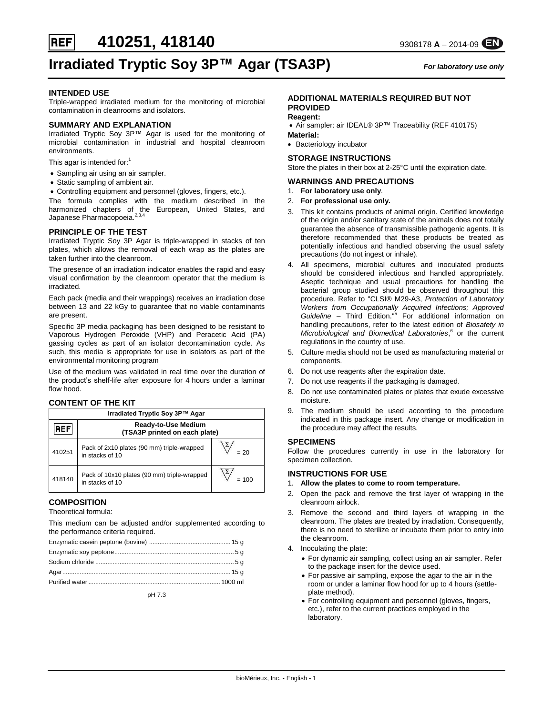**410251, 418140** 9308178 A – 2014-09

# **Irradiated Tryptic Soy 3P™ Agar (TSA3P)** *For laboratory use only*

### **INTENDED USE**

**REF** 

Triple-wrapped irradiated medium for the monitoring of microbial contamination in cleanrooms and isolators*.*

## **SUMMARY AND EXPLANATION**

Irradiated Tryptic Soy 3P™ Agar is used for the monitoring of microbial contamination in industrial and hospital cleanroom environments.

This agar is intended for:<sup>1</sup>

- Sampling air using an air sampler.
- Static sampling of ambient air.
- Controlling equipment and personnel (gloves, fingers, etc.).

The formula complies with the medium described in the harmonized chapters of the European, United States, and Japanese Pharmacopoeia.<sup>2,3,4</sup>

## **PRINCIPLE OF THE TEST**

Irradiated Tryptic Soy 3P Agar is triple-wrapped in stacks of ten plates, which allows the removal of each wrap as the plates are taken further into the cleanroom.

The presence of an irradiation indicator enables the rapid and easy visual confirmation by the cleanroom operator that the medium is irradiated.

Each pack (media and their wrappings) receives an irradiation dose between 13 and 22 kGy to guarantee that no viable contaminants are present.

Specific 3P media packaging has been designed to be resistant to Vaporous Hydrogen Peroxide (VHP) and Peracetic Acid (PA) gassing cycles as part of an isolator decontamination cycle. As such, this media is appropriate for use in isolators as part of the environmental monitoring program

Use of the medium was validated in real time over the duration of the product's shelf-life after exposure for 4 hours under a laminar flow hood.

#### **CONTENT OF THE KIT**

| Irradiated Tryptic Soy 3P™ Agar |                                                                |       |  |  |
|---------------------------------|----------------------------------------------------------------|-------|--|--|
| REF                             | <b>Ready-to-Use Medium</b><br>(TSA3P printed on each plate)    |       |  |  |
| 410251                          | Pack of 2x10 plates (90 mm) triple-wrapped<br>in stacks of 10  | = 20  |  |  |
| 418140                          | Pack of 10x10 plates (90 mm) triple-wrapped<br>in stacks of 10 | = 100 |  |  |

## **COMPOSITION**

Theoretical formula:

This medium can be adjusted and/or supplemented according to the performance criteria required.

pH 7.3

## **ADDITIONAL MATERIALS REQUIRED BUT NOT PROVIDED**

## **Reagent:**

• Air sampler: air IDEAL® 3P™ Traceability (REF 410175) **Material:** 

• Bacteriology incubator

### **STORAGE INSTRUCTIONS**

Store the plates in their box at 2-25°C until the expiration date.

#### **WARNINGS AND PRECAUTIONS**

- 1. **For laboratory use only**.
- 2. **For professional use only.**
- 3. This kit contains products of animal origin. Certified knowledge of the origin and/or sanitary state of the animals does not totally guarantee the absence of transmissible pathogenic agents. It is therefore recommended that these products be treated as potentially infectious and handled observing the usual safety precautions (do not ingest or inhale).
- 4. All specimens, microbial cultures and inoculated products should be considered infectious and handled appropriately. Aseptic technique and usual precautions for handling the bacterial group studied should be observed throughout this procedure. Refer to "CLSI® M29-A3, *Protection of Laboratory*  Workers from Occupationally Acquired Infections; Approved<br>Guideline – Third Edition."<sup>5</sup> For additional information on handling precautions, refer to the latest edition of *Biosafety in Microbiological and Biomedical Laboratories*, 6 or the current regulations in the country of use.
- 5. Culture media should not be used as manufacturing material or components.
- 6. Do not use reagents after the expiration date.
- 7. Do not use reagents if the packaging is damaged.
- 8. Do not use contaminated plates or plates that exude excessive moisture.
- 9. The medium should be used according to the procedure indicated in this package insert. Any change or modification in the procedure may affect the results.

#### **SPECIMENS**

Follow the procedures currently in use in the laboratory for specimen collection.

#### **INSTRUCTIONS FOR USE**

- 1. **Allow the plates to come to room temperature.**
- 2. Open the pack and remove the first layer of wrapping in the cleanroom airlock.
- 3. Remove the second and third layers of wrapping in the cleanroom. The plates are treated by irradiation. Consequently, there is no need to sterilize or incubate them prior to entry into the cleanroom.
- 4. Inoculating the plate:
	- For dynamic air sampling, collect using an air sampler. Refer to the package insert for the device used.
	- For passive air sampling, expose the agar to the air in the room or under a laminar flow hood for up to 4 hours (settleplate method).
	- For controlling equipment and personnel (gloves, fingers, etc.), refer to the current practices employed in the laboratory.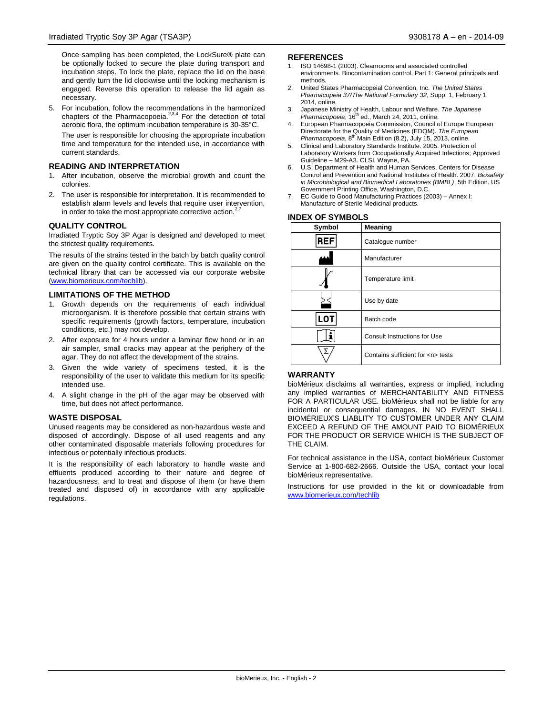Once sampling has been completed, the LockSure® plate can be optionally locked to secure the plate during transport and incubation steps. To lock the plate, replace the lid on the base and gently turn the lid clockwise until the locking mechanism is engaged. Reverse this operation to release the lid again as necessary.

5. For incubation, follow the recommendations in the harmonized chapters of the Pharmacopoeia.<sup>2,3,4</sup> For the detection of total aerobic flora, the optimum incubation temperature is 30-35°C. The user is responsible for choosing the appropriate incubation time and temperature for the intended use, in accordance with current standards.

### **READING AND INTERPRETATION**

- 1. After incubation, observe the microbial growth and count the colonies.
- 2. The user is responsible for interpretation. It is recommended to establish alarm levels and levels that require user intervention, in order to take the most appropriate corrective action.<sup>2,7</sup>

#### **QUALITY CONTROL**

Irradiated Tryptic Soy 3P Agar is designed and developed to meet the strictest quality requirements.

The results of the strains tested in the batch by batch quality control are given on the quality control certificate. This is available on the technical library that can be accessed via our corporate website [\(www.biomerieux.com/techlib\)](http://www.biomerieux.com/techlib).

#### **LIMITATIONS OF THE METHOD**

- 1. Growth depends on the requirements of each individual microorganism. It is therefore possible that certain strains with specific requirements (growth factors, temperature, incubation conditions, etc.) may not develop.
- 2. After exposure for 4 hours under a laminar flow hood or in an air sampler, small cracks may appear at the periphery of the agar. They do not affect the development of the strains.
- 3. Given the wide variety of specimens tested, it is the responsibility of the user to validate this medium for its specific intended use.
- 4. A slight change in the pH of the agar may be observed with time, but does not affect performance.

#### **WASTE DISPOSAL**

Unused reagents may be considered as non-hazardous waste and disposed of accordingly. Dispose of all used reagents and any other contaminated disposable materials following procedures for infectious or potentially infectious products.

It is the responsibility of each laboratory to handle waste and effluents produced according to their nature and degree of hazardousness, and to treat and dispose of them (or have them treated and disposed of) in accordance with any applicable regulations.

#### **REFERENCES**

- 1. ISO 14698-1 (2003). Cleanrooms and associated controlled environments. Biocontamination control. Part 1: General principals and methods.
- 2. United States Pharmacopeial Convention, Inc. *The United States Pharmacopeia 37/The National Formulary 32*, Supp. 1, February 1, 2014, online.
- 3. Japanese Ministry of Health, Labour and Welfare. *The Japanese*  Pharmacopoeia, 16<sup>th</sup> ed., March 24, 2011, online.
- 4. European Pharmacopoeia Commission, Council of Europe European Directorate for the Quality of Medicines (EDQM). *The European Pharmacopoeia*, 8th Main Edition (8.2), July 15, 2013, online.
- 5. Clinical and Laboratory Standards Institute. 2005. Protection of Laboratory Workers from Occupationally Acquired Infections; Approved Guideline – M29-A3. CLSI, Wayne, PA.
- 6. U.S. Department of Health and Human Services, Centers for Disease Control and Prevention and National Institutes of Health. 2007. *Biosafety in Microbiological and Biomedical Laboratories (BMBL)*, 5th Edition. US Government Printing Office, Washington, D.C.
- 7. EC Guide to Good Manufacturing Practices (2003) Annex I: Manufacture of Sterile Medicinal products.

### **INDEX OF SYMBOLS**

| Symbol     | Meaning                               |  |
|------------|---------------------------------------|--|
| <b>REF</b> | Catalogue number                      |  |
|            | Manufacturer                          |  |
|            | Temperature limit                     |  |
|            | Use by date                           |  |
| <b>LOT</b> | Batch code                            |  |
| Ť          | Consult Instructions for Use          |  |
| Σ          | Contains sufficient for <n> tests</n> |  |

## **WARRANTY**

bioMérieux disclaims all warranties, express or implied, including any implied warranties of MERCHANTABILITY AND FITNESS FOR A PARTICULAR USE. bioMérieux shall not be liable for any incidental or consequential damages. IN NO EVENT SHALL BIOMÉRIEUX'S LIABLITY TO CUSTOMER UNDER ANY CLAIM EXCEED A REFUND OF THE AMOUNT PAID TO BIOMÉRIEUX FOR THE PRODUCT OR SERVICE WHICH IS THE SUBJECT OF THE CLAIM.

For technical assistance in the USA, contact bioMérieux Customer Service at 1-800-682-2666. Outside the USA, contact your local bioMérieux representative.

Instructions for use provided in the kit or downloadable from [www.biomerieux.com/techlib](http://www.biomerieux.com/techlib)